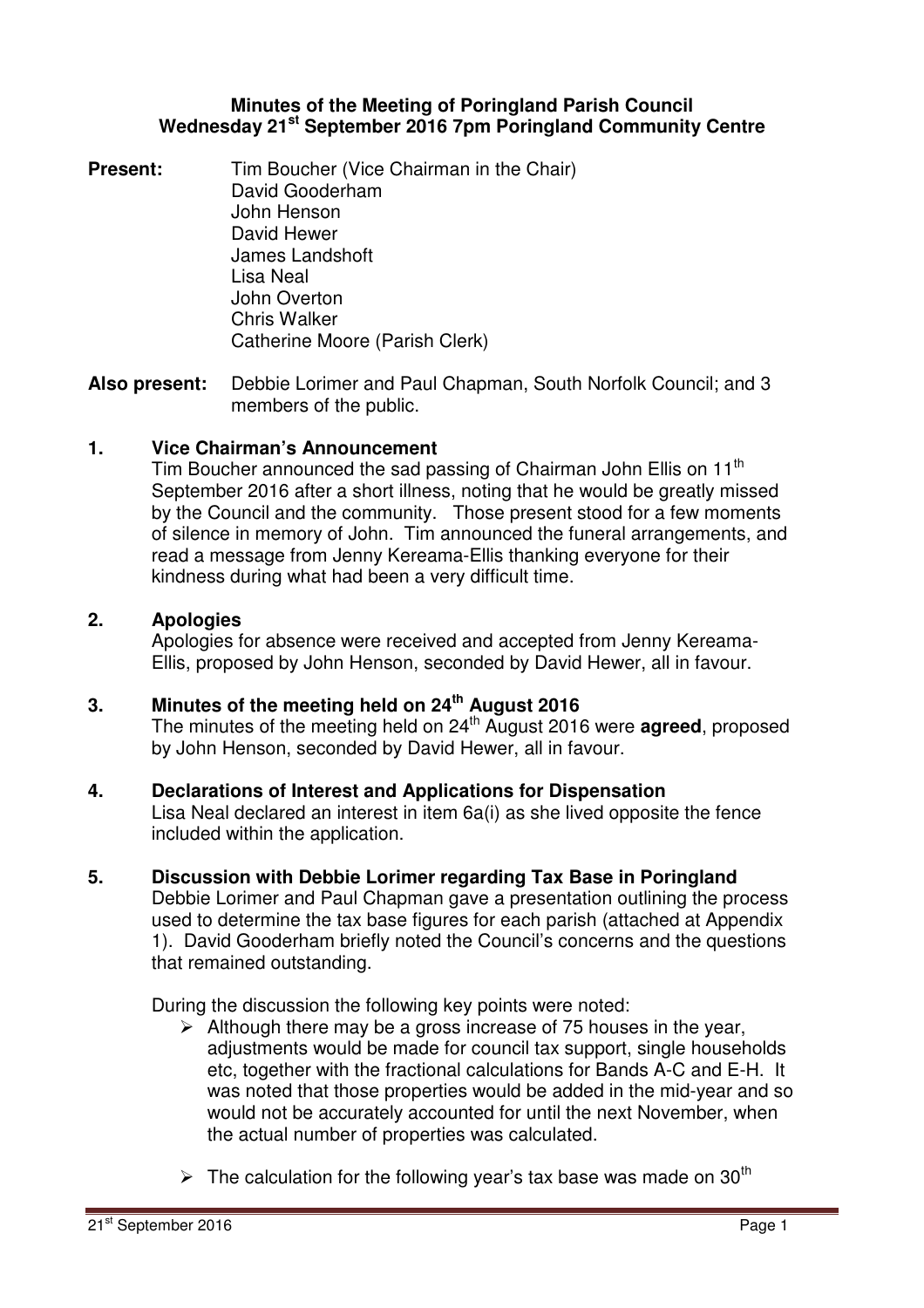### **Minutes of the Meeting of Poringland Parish Council Wednesday 21st September 2016 7pm Poringland Community Centre**

**Present:** Tim Boucher (Vice Chairman in the Chair) David Gooderham John Henson David Hewer James Landshoft Lisa Neal John Overton Chris Walker Catherine Moore (Parish Clerk)

**Also present:** Debbie Lorimer and Paul Chapman, South Norfolk Council; and 3 members of the public.

### **1. Vice Chairman's Announcement**

Tim Boucher announced the sad passing of Chairman John Ellis on 11<sup>th</sup> September 2016 after a short illness, noting that he would be greatly missed by the Council and the community. Those present stood for a few moments of silence in memory of John. Tim announced the funeral arrangements, and read a message from Jenny Kereama-Ellis thanking everyone for their kindness during what had been a very difficult time.

### **2. Apologies**

Apologies for absence were received and accepted from Jenny Kereama-Ellis, proposed by John Henson, seconded by David Hewer, all in favour.

# **3. Minutes of the meeting held on 24th August 2016**

The minutes of the meeting held on 24<sup>th</sup> August 2016 were **agreed**, proposed by John Henson, seconded by David Hewer, all in favour.

### **4. Declarations of Interest and Applications for Dispensation**

Lisa Neal declared an interest in item 6a(i) as she lived opposite the fence included within the application.

### **5. Discussion with Debbie Lorimer regarding Tax Base in Poringland**

Debbie Lorimer and Paul Chapman gave a presentation outlining the process used to determine the tax base figures for each parish (attached at Appendix 1). David Gooderham briefly noted the Council's concerns and the questions that remained outstanding.

During the discussion the following key points were noted:

- $\triangleright$  Although there may be a gross increase of 75 houses in the year, adjustments would be made for council tax support, single households etc, together with the fractional calculations for Bands A-C and E-H. It was noted that those properties would be added in the mid-year and so would not be accurately accounted for until the next November, when the actual number of properties was calculated.
- $\triangleright$  The calculation for the following year's tax base was made on 30<sup>th</sup>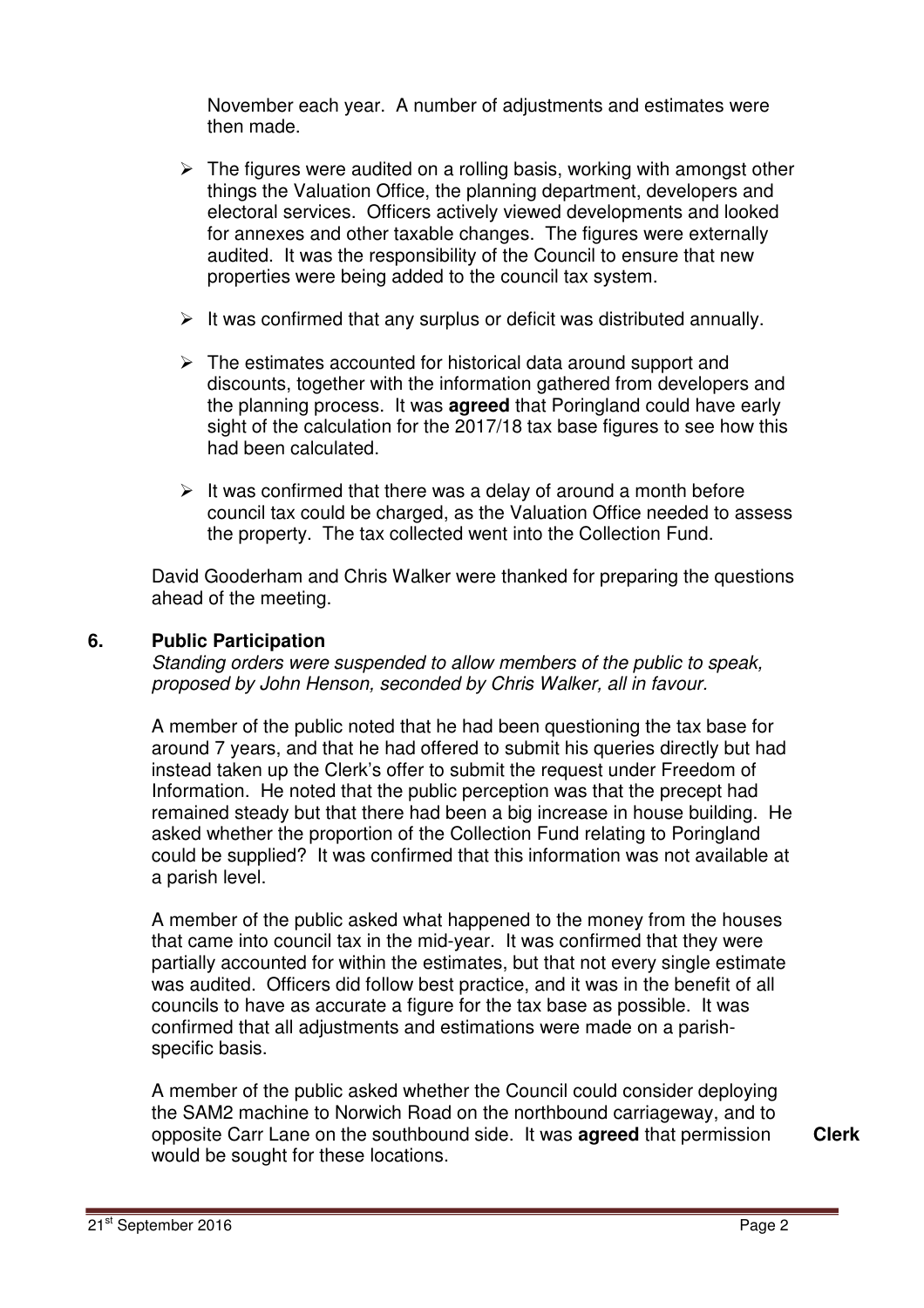November each year. A number of adjustments and estimates were then made.

- $\triangleright$  The figures were audited on a rolling basis, working with amongst other things the Valuation Office, the planning department, developers and electoral services. Officers actively viewed developments and looked for annexes and other taxable changes. The figures were externally audited. It was the responsibility of the Council to ensure that new properties were being added to the council tax system.
- $\triangleright$  It was confirmed that any surplus or deficit was distributed annually.
- $\triangleright$  The estimates accounted for historical data around support and discounts, together with the information gathered from developers and the planning process. It was **agreed** that Poringland could have early sight of the calculation for the 2017/18 tax base figures to see how this had been calculated.
- $\triangleright$  It was confirmed that there was a delay of around a month before council tax could be charged, as the Valuation Office needed to assess the property. The tax collected went into the Collection Fund.

David Gooderham and Chris Walker were thanked for preparing the questions ahead of the meeting.

### **6. Public Participation**

Standing orders were suspended to allow members of the public to speak, proposed by John Henson, seconded by Chris Walker, all in favour.

A member of the public noted that he had been questioning the tax base for around 7 years, and that he had offered to submit his queries directly but had instead taken up the Clerk's offer to submit the request under Freedom of Information. He noted that the public perception was that the precept had remained steady but that there had been a big increase in house building. He asked whether the proportion of the Collection Fund relating to Poringland could be supplied? It was confirmed that this information was not available at a parish level.

A member of the public asked what happened to the money from the houses that came into council tax in the mid-year. It was confirmed that they were partially accounted for within the estimates, but that not every single estimate was audited. Officers did follow best practice, and it was in the benefit of all councils to have as accurate a figure for the tax base as possible. It was confirmed that all adjustments and estimations were made on a parishspecific basis.

A member of the public asked whether the Council could consider deploying the SAM2 machine to Norwich Road on the northbound carriageway, and to opposite Carr Lane on the southbound side. It was **agreed** that permission would be sought for these locations.

**Clerk**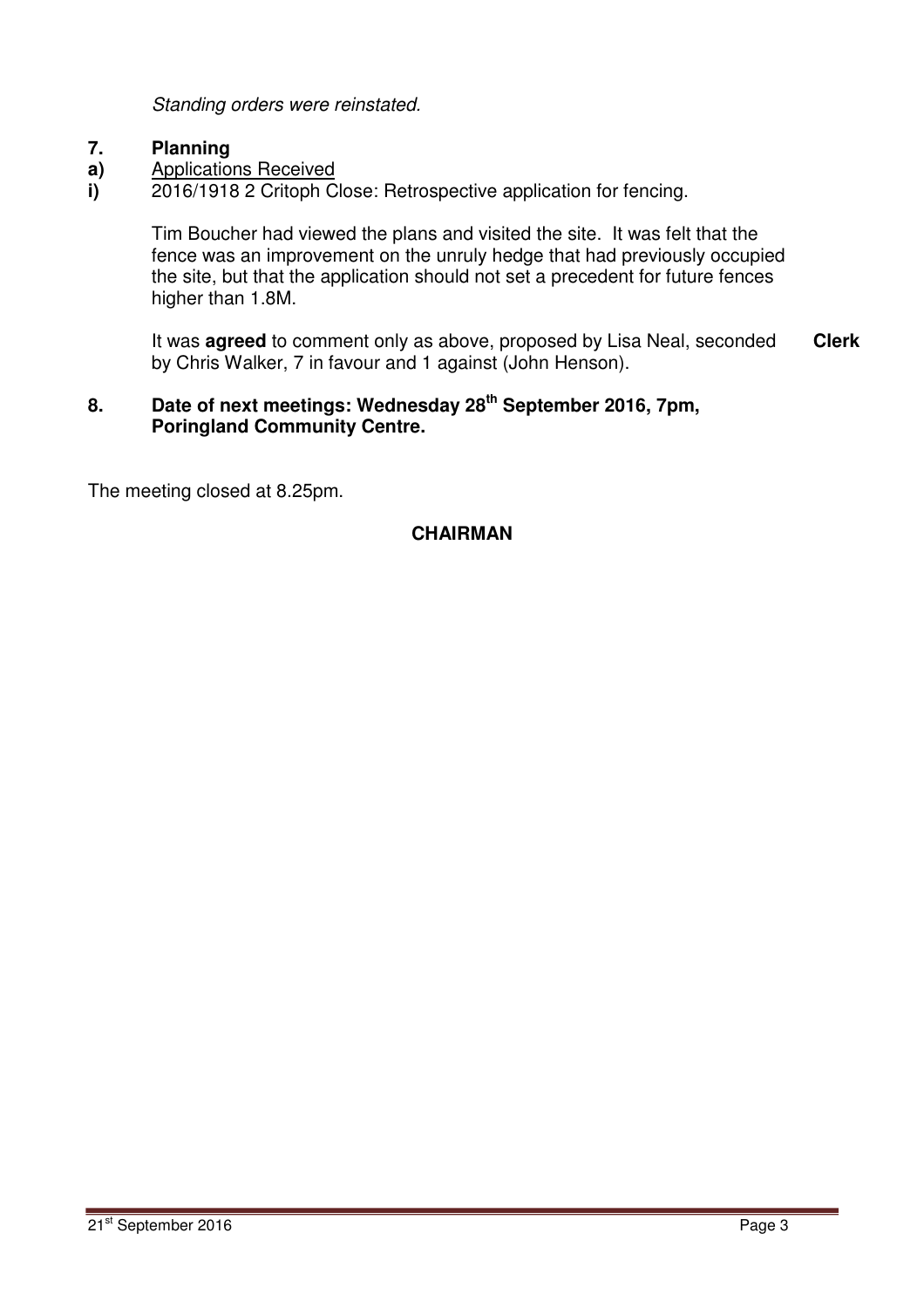Standing orders were reinstated.

#### **7. Planning**

- **a)**  Applications Received
- **i)**  2016/1918 2 Critoph Close: Retrospective application for fencing.

Tim Boucher had viewed the plans and visited the site. It was felt that the fence was an improvement on the unruly hedge that had previously occupied the site, but that the application should not set a precedent for future fences higher than 1.8M.

It was **agreed** to comment only as above, proposed by Lisa Neal, seconded by Chris Walker, 7 in favour and 1 against (John Henson). **Clerk**

# **8. Date of next meetings: Wednesday 28th September 2016, 7pm, Poringland Community Centre.**

The meeting closed at 8.25pm.

### **CHAIRMAN**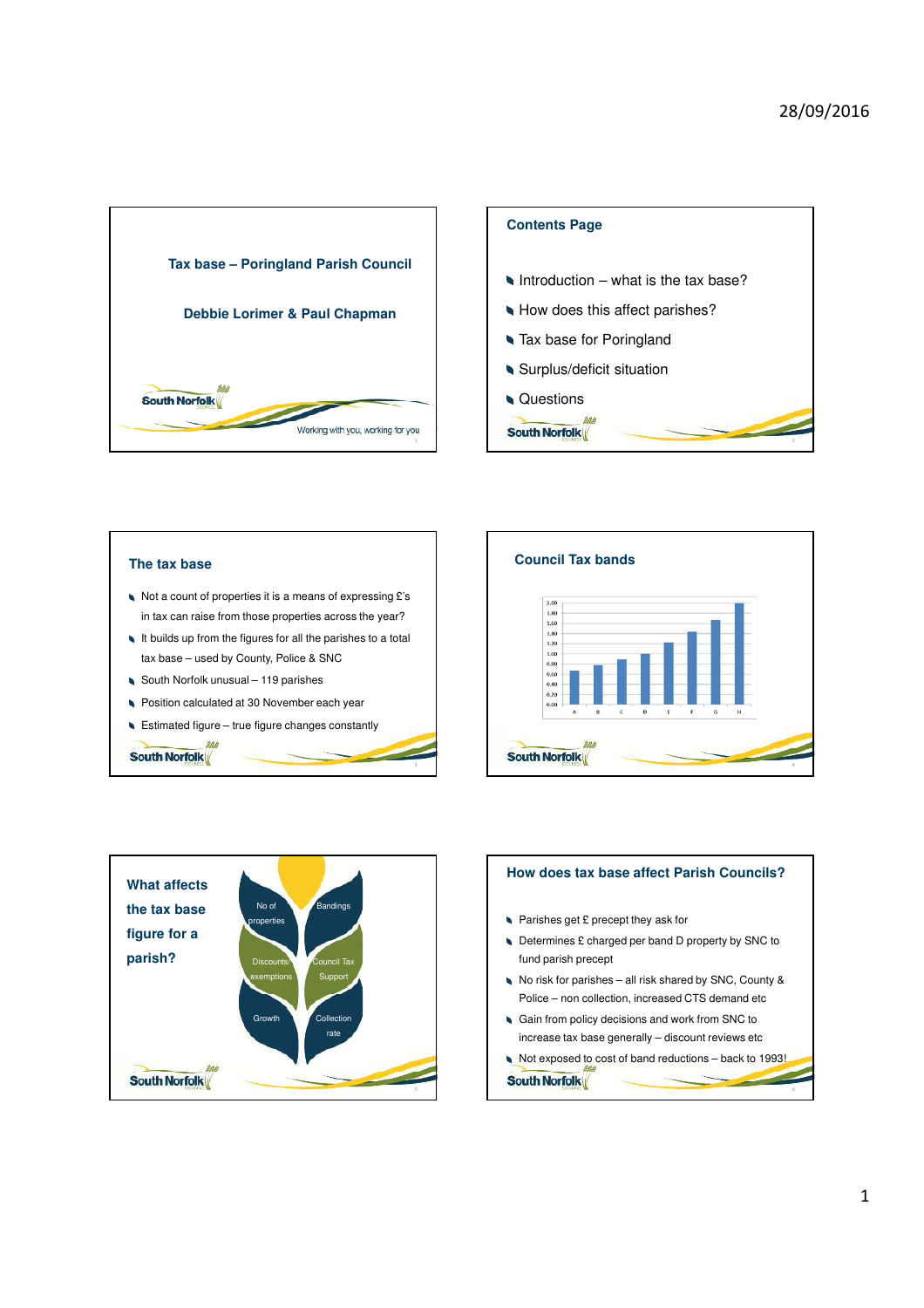



**South Norfolk** 

### **The tax base**

South Norfolk

- Not a count of properties it is a means of expressing £'s in tax can raise from those properties across the year?
- It builds up from the figures for all the parishes to a total tax base – used by County, Police & SNC

3

- South Norfolk unusual 119 parishes
- Position calculated at 30 November each year
- Estimated figure true figure changes constantly





# **How does tax base affect Parish Councils?** Parishes get £ precept they ask for

- Determines £ charged per band D property by SNC to fund parish precept
- No risk for parishes all risk shared by SNC, County & Police – non collection, increased CTS demand etc
- Gain from policy decisions and work from SNC to increase tax base generally – discount reviews etc
- Not exposed to cost of band reductions back to 1993!

**South Norfolk** 

6